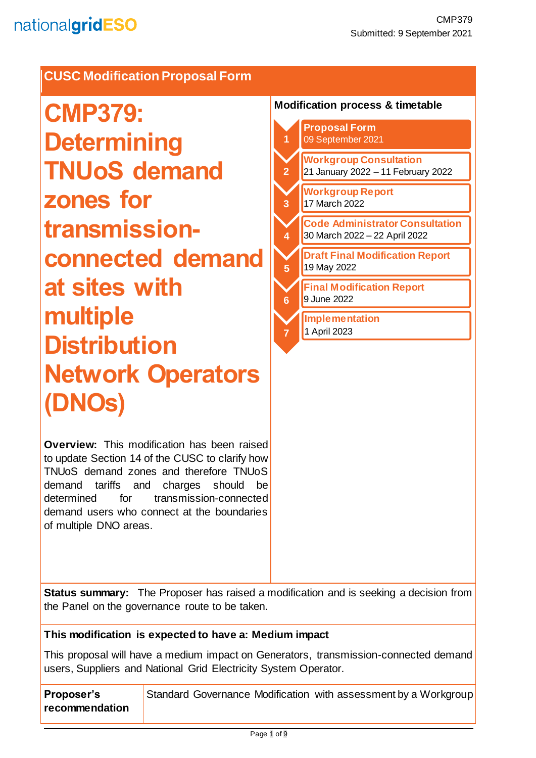## **CUSC Modification Proposal Form**

**CMP379: Determining TNUoS demand zones for transmissionconnected demand at sites with multiple Distribution Network Operators (DNOs)**

**Overview:** This modification has been raised to update Section 14 of the CUSC to clarify how TNUoS demand zones and therefore TNUoS demand tariffs and charges should be determined for transmission-connected demand users who connect at the boundaries of multiple DNO areas.

#### **Modification process & timetable**



**Status summary:** The Proposer has raised a modification and is seeking a decision from the Panel on the governance route to be taken.

### **This modification is expected to have a: Medium impact**

This proposal will have a medium impact on Generators, transmission-connected demand users, Suppliers and National Grid Electricity System Operator.

| Proposer's     | Standard Governance Modification with assessment by a Workgroup |
|----------------|-----------------------------------------------------------------|
| recommendation |                                                                 |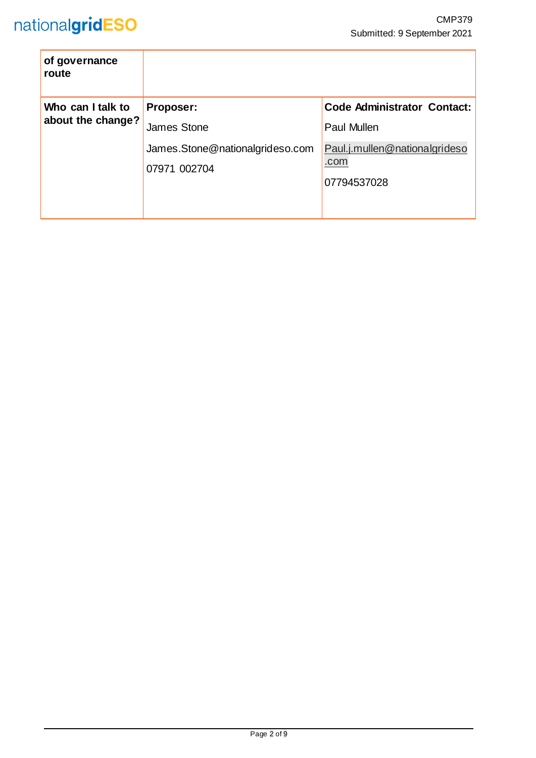| of governance<br>route                 |                                                 |                                                      |  |
|----------------------------------------|-------------------------------------------------|------------------------------------------------------|--|
| Who can I talk to<br>about the change? | Proposer:                                       | <b>Code Administrator Contact:</b>                   |  |
|                                        | <b>James Stone</b>                              | <b>Paul Mullen</b>                                   |  |
|                                        | James.Stone@nationalgrideso.com<br>07971 002704 | Paul.j.mullen@nationalgrideso<br>.com<br>07794537028 |  |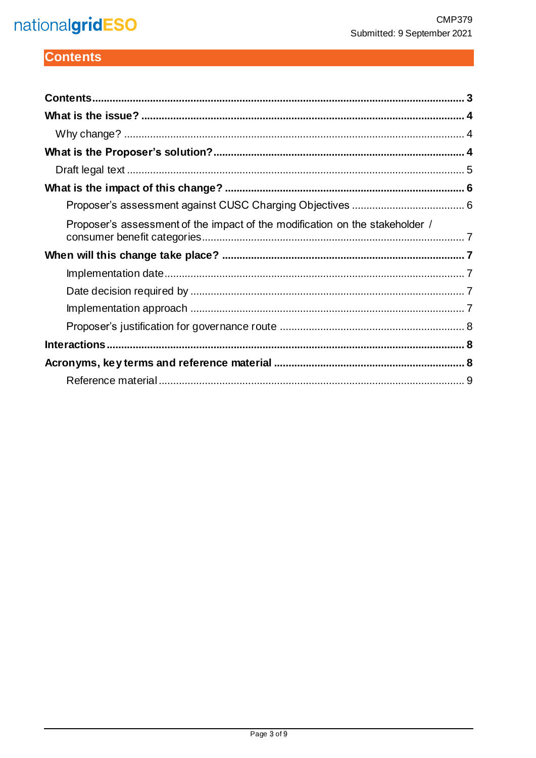# nationalgridESO

## <span id="page-2-0"></span>**Contents**

| Proposer's assessment of the impact of the modification on the stakeholder / |  |
|------------------------------------------------------------------------------|--|
|                                                                              |  |
|                                                                              |  |
|                                                                              |  |
|                                                                              |  |
|                                                                              |  |
|                                                                              |  |
|                                                                              |  |
|                                                                              |  |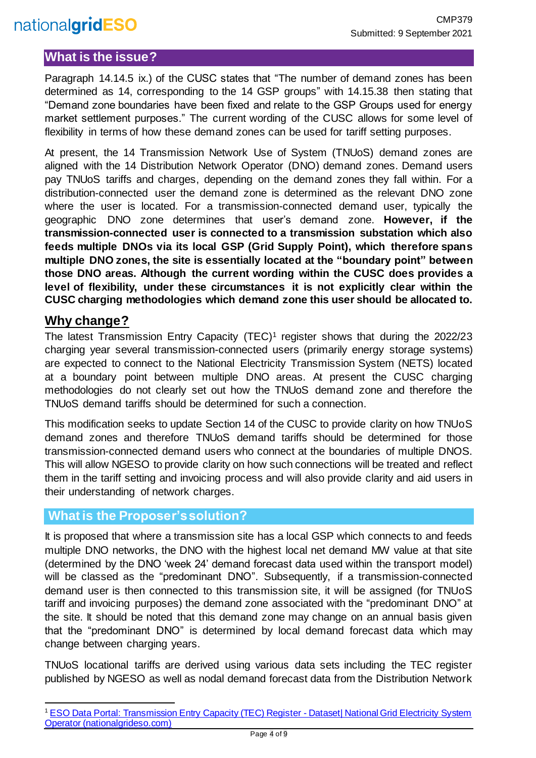## <span id="page-3-0"></span>**What is the issue?**

Paragraph 14.14.5 ix.) of the CUSC states that "The number of demand zones has been determined as 14, corresponding to the 14 GSP groups" with 14.15.38 then stating that "Demand zone boundaries have been fixed and relate to the GSP Groups used for energy market settlement purposes." The current wording of the CUSC allows for some level of flexibility in terms of how these demand zones can be used for tariff setting purposes.

At present, the 14 Transmission Network Use of System (TNUoS) demand zones are aligned with the 14 Distribution Network Operator (DNO) demand zones. Demand users pay TNUoS tariffs and charges, depending on the demand zones they fall within. For a distribution-connected user the demand zone is determined as the relevant DNO zone where the user is located. For a transmission-connected demand user, typically the geographic DNO zone determines that user's demand zone. **However, if the transmission-connected user is connected to a transmission substation which also feeds multiple DNOs via its local GSP (Grid Supply Point), which therefore spans multiple DNO zones, the site is essentially located at the "boundary point" between those DNO areas. Although the current wording within the CUSC does provides a level of flexibility, under these circumstances it is not explicitly clear within the CUSC charging methodologies which demand zone this user should be allocated to.**

### <span id="page-3-1"></span>**Why change?**

The latest Transmission Entry Capacity (TEC)<sup>1</sup> register shows that during the 2022/23 charging year several transmission-connected users (primarily energy storage systems) are expected to connect to the National Electricity Transmission System (NETS) located at a boundary point between multiple DNO areas. At present the CUSC charging methodologies do not clearly set out how the TNUoS demand zone and therefore the TNUoS demand tariffs should be determined for such a connection.

This modification seeks to update Section 14 of the CUSC to provide clarity on how TNUoS demand zones and therefore TNUoS demand tariffs should be determined for those transmission-connected demand users who connect at the boundaries of multiple DNOS. This will allow NGESO to provide clarity on how such connections will be treated and reflect them in the tariff setting and invoicing process and will also provide clarity and aid users in their understanding of network charges.

### <span id="page-3-2"></span>**What is the Proposer's solution?**

It is proposed that where a transmission site has a local GSP which connects to and feeds multiple DNO networks, the DNO with the highest local net demand MW value at that site (determined by the DNO 'week 24' demand forecast data used within the transport model) will be classed as the "predominant DNO". Subsequently, if a transmission-connected demand user is then connected to this transmission site, it will be assigned (for TNUoS tariff and invoicing purposes) the demand zone associated with the "predominant DNO" at the site. It should be noted that this demand zone may change on an annual basis given that the "predominant DNO" is determined by local demand forecast data which may change between charging years.

TNUoS locational tariffs are derived using various data sets including the TEC register published by NGESO as well as nodal demand forecast data from the Distribution Network

l <sup>1</sup> [ESO Data Portal: Transmission Entry Capacity \(TEC\) Register -](https://data.nationalgrideso.com/connection-registers/transmission-entry-capacity-tec-register) Dataset| National Grid Electricity System [Operator \(nationalgrideso.com\)](https://data.nationalgrideso.com/connection-registers/transmission-entry-capacity-tec-register)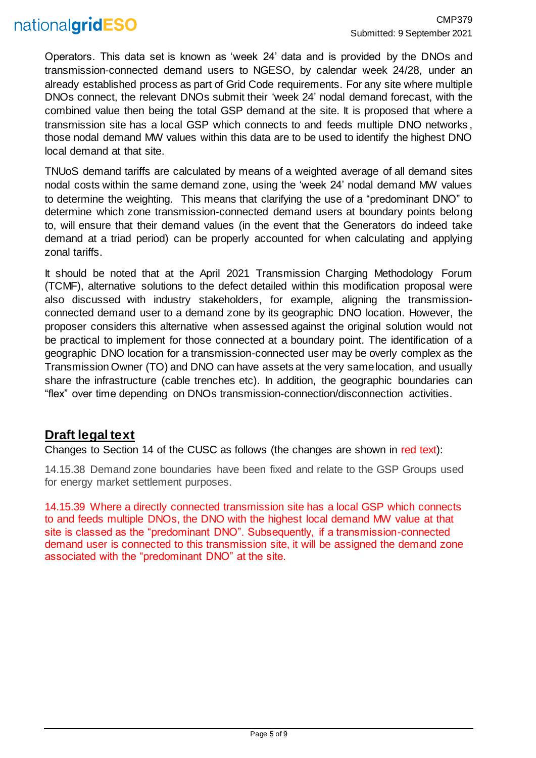## nationalgridESO

Operators. This data set is known as 'week 24' data and is provided by the DNOs and transmission-connected demand users to NGESO, by calendar week 24/28, under an already established process as part of Grid Code requirements. For any site where multiple DNOs connect, the relevant DNOs submit their 'week 24' nodal demand forecast, with the combined value then being the total GSP demand at the site. It is proposed that where a transmission site has a local GSP which connects to and feeds multiple DNO networks , those nodal demand MW values within this data are to be used to identify the highest DNO local demand at that site.

TNUoS demand tariffs are calculated by means of a weighted average of all demand sites nodal costs within the same demand zone, using the 'week 24' nodal demand MW values to determine the weighting. This means that clarifying the use of a "predominant DNO" to determine which zone transmission-connected demand users at boundary points belong to, will ensure that their demand values (in the event that the Generators do indeed take demand at a triad period) can be properly accounted for when calculating and applying zonal tariffs.

It should be noted that at the April 2021 Transmission Charging Methodology Forum (TCMF), alternative solutions to the defect detailed within this modification proposal were also discussed with industry stakeholders, for example, aligning the transmissionconnected demand user to a demand zone by its geographic DNO location. However, the proposer considers this alternative when assessed against the original solution would not be practical to implement for those connected at a boundary point. The identification of a geographic DNO location for a transmission-connected user may be overly complex as the Transmission Owner (TO) and DNO can have assets at the very same location, and usually share the infrastructure (cable trenches etc). In addition, the geographic boundaries can "flex" over time depending on DNOs transmission-connection/disconnection activities.

### <span id="page-4-0"></span>**Draft legal text**

Changes to Section 14 of the CUSC as follows (the changes are shown in red text):

14.15.38 Demand zone boundaries have been fixed and relate to the GSP Groups used for energy market settlement purposes.

14.15.39 Where a directly connected transmission site has a local GSP which connects to and feeds multiple DNOs, the DNO with the highest local demand MW value at that site is classed as the "predominant DNO". Subsequently, if a transmission-connected demand user is connected to this transmission site, it will be assigned the demand zone associated with the "predominant DNO" at the site.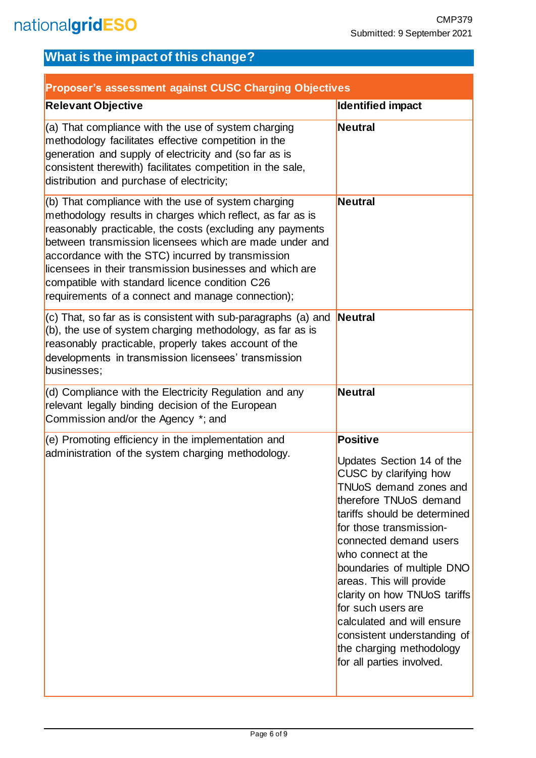## <span id="page-5-0"></span>**What is the impact of this change?**

<span id="page-5-1"></span>

| Proposer's assessment against CUSC Charging Objectives                                                                                                                                                                                                                                                                                                                                                                                                            |                                                                                                                                                                                                                                                                                                                                                                                                                                                                                    |  |  |  |  |
|-------------------------------------------------------------------------------------------------------------------------------------------------------------------------------------------------------------------------------------------------------------------------------------------------------------------------------------------------------------------------------------------------------------------------------------------------------------------|------------------------------------------------------------------------------------------------------------------------------------------------------------------------------------------------------------------------------------------------------------------------------------------------------------------------------------------------------------------------------------------------------------------------------------------------------------------------------------|--|--|--|--|
| <b>Relevant Objective</b>                                                                                                                                                                                                                                                                                                                                                                                                                                         | <b>Identified impact</b>                                                                                                                                                                                                                                                                                                                                                                                                                                                           |  |  |  |  |
| (a) That compliance with the use of system charging<br>methodology facilitates effective competition in the<br>generation and supply of electricity and (so far as is<br>consistent therewith) facilitates competition in the sale,<br>distribution and purchase of electricity;                                                                                                                                                                                  | <b>Neutral</b>                                                                                                                                                                                                                                                                                                                                                                                                                                                                     |  |  |  |  |
| (b) That compliance with the use of system charging<br>methodology results in charges which reflect, as far as is<br>reasonably practicable, the costs (excluding any payments<br>between transmission licensees which are made under and<br>accordance with the STC) incurred by transmission<br>licensees in their transmission businesses and which are<br>compatible with standard licence condition C26<br>requirements of a connect and manage connection); | <b>Neutral</b>                                                                                                                                                                                                                                                                                                                                                                                                                                                                     |  |  |  |  |
| $(c)$ That, so far as is consistent with sub-paragraphs (a) and<br>(b), the use of system charging methodology, as far as is<br>reasonably practicable, properly takes account of the<br>developments in transmission licensees' transmission<br>businesses;                                                                                                                                                                                                      | Neutral                                                                                                                                                                                                                                                                                                                                                                                                                                                                            |  |  |  |  |
| (d) Compliance with the Electricity Regulation and any<br>relevant legally binding decision of the European<br>Commission and/or the Agency *; and                                                                                                                                                                                                                                                                                                                | <b>Neutral</b>                                                                                                                                                                                                                                                                                                                                                                                                                                                                     |  |  |  |  |
| (e) Promoting efficiency in the implementation and<br>administration of the system charging methodology.                                                                                                                                                                                                                                                                                                                                                          | <b>Positive</b><br>Updates Section 14 of the<br>CUSC by clarifying how<br><b>TNUoS</b> demand zones and<br>therefore TNUoS demand<br>tariffs should be determined<br>for those transmission-<br>connected demand users<br>who connect at the<br>boundaries of multiple DNO<br>areas. This will provide<br>clarity on how TNUoS tariffs<br>for such users are<br>calculated and will ensure<br>consistent understanding of<br>the charging methodology<br>for all parties involved. |  |  |  |  |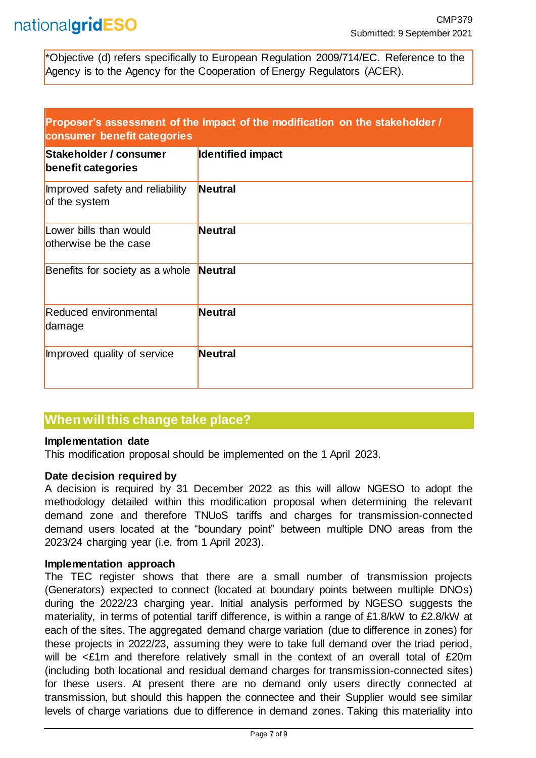\*Objective (d) refers specifically to European Regulation 2009/714/EC. Reference to the Agency is to the Agency for the Cooperation of Energy Regulators (ACER).

<span id="page-6-0"></span>

| Proposer's assessment of the impact of the modification on the stakeholder / |  |
|------------------------------------------------------------------------------|--|
| consumer benefit categories                                                  |  |

| Stakeholder / consumer<br>benefit categories     | Identified impact |
|--------------------------------------------------|-------------------|
| Improved safety and reliability<br>of the system | <b>Neutral</b>    |
| Lower bills than would<br>otherwise be the case  | <b>Neutral</b>    |
| Benefits for society as a whole                  | Neutral           |
| Reduced environmental<br>damage                  | <b>Neutral</b>    |
| Improved quality of service                      | <b>Neutral</b>    |

### <span id="page-6-1"></span>**When will this change take place?**

#### <span id="page-6-2"></span>**Implementation date**

This modification proposal should be implemented on the 1 April 2023.

#### <span id="page-6-3"></span>**Date decision required by**

A decision is required by 31 December 2022 as this will allow NGESO to adopt the methodology detailed within this modification proposal when determining the relevant demand zone and therefore TNUoS tariffs and charges for transmission-connected demand users located at the "boundary point" between multiple DNO areas from the 2023/24 charging year (i.e. from 1 April 2023).

#### <span id="page-6-4"></span>**Implementation approach**

The TEC register shows that there are a small number of transmission projects (Generators) expected to connect (located at boundary points between multiple DNOs) during the 2022/23 charging year. Initial analysis performed by NGESO suggests the materiality, in terms of potential tariff difference, is within a range of £1.8/kW to £2.8/kW at each of the sites. The aggregated demand charge variation (due to difference in zones) for these projects in 2022/23, assuming they were to take full demand over the triad period, will be <£1m and therefore relatively small in the context of an overall total of £20m (including both locational and residual demand charges for transmission-connected sites) for these users. At present there are no demand only users directly connected at transmission, but should this happen the connectee and their Supplier would see similar levels of charge variations due to difference in demand zones. Taking this materiality into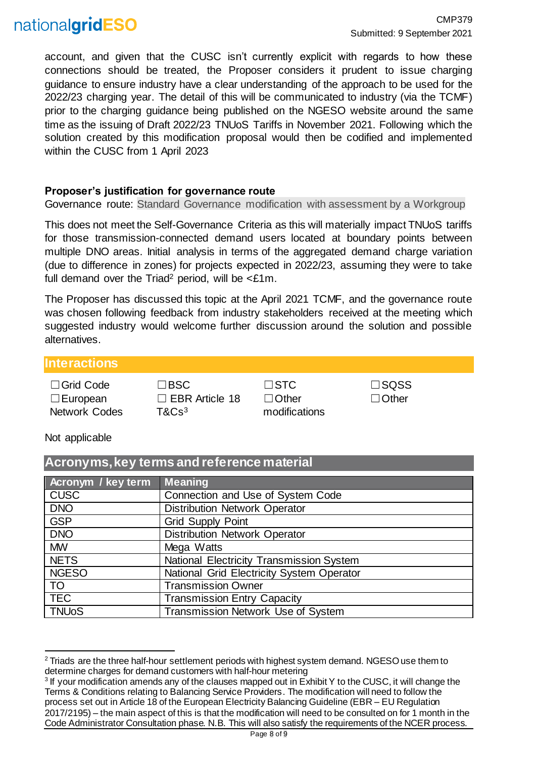## nationalgridESO

account, and given that the CUSC isn't currently explicit with regards to how these connections should be treated, the Proposer considers it prudent to issue charging guidance to ensure industry have a clear understanding of the approach to be used for the 2022/23 charging year. The detail of this will be communicated to industry (via the TCMF) prior to the charging guidance being published on the NGESO website around the same time as the issuing of Draft 2022/23 TNUoS Tariffs in November 2021. Following which the solution created by this modification proposal would then be codified and implemented within the CUSC from 1 April 2023

### <span id="page-7-0"></span>**Proposer's justification for governance route**

Governance route: Standard Governance modification with assessment by a Workgroup

This does not meet the Self-Governance Criteria as this will materially impact TNUoS tariffs for those transmission-connected demand users located at boundary points between multiple DNO areas. Initial analysis in terms of the aggregated demand charge variation (due to difference in zones) for projects expected in 2022/23, assuming they were to take full demand over the Triad<sup>2</sup> period, will be  $\leq$  £1m.

The Proposer has discussed this topic at the April 2021 TCMF, and the governance route was chosen following feedback from industry stakeholders received at the meeting which suggested industry would welcome further discussion around the solution and possible alternatives.

### <span id="page-7-1"></span>**Interactions**

| $\Box$ Grid Code     |
|----------------------|
| $\Box$ European      |
| <b>Network Codes</b> |

☐Grid Code ☐BSC ☐STC ☐SQSS □ EBR Article 18 T&Cs<sup>3</sup>

<span id="page-7-2"></span>**Acronyms, key terms and reference material**

☐Other modifications

☐Other

### Not applicable

| <u>AUTON MUI, KUYTUMIJA AMATULU IULUU MAALITAT</u> |                                           |  |  |  |  |
|----------------------------------------------------|-------------------------------------------|--|--|--|--|
| Acronym / key term                                 | <b>Meaning</b>                            |  |  |  |  |
| <b>CUSC</b>                                        | Connection and Use of System Code         |  |  |  |  |
| <b>DNO</b>                                         | <b>Distribution Network Operator</b>      |  |  |  |  |
| <b>GSP</b>                                         | <b>Grid Supply Point</b>                  |  |  |  |  |
| <b>DNO</b>                                         | <b>Distribution Network Operator</b>      |  |  |  |  |
| <b>MW</b>                                          | Mega Watts                                |  |  |  |  |
| <b>NETS</b>                                        | National Electricity Transmission System  |  |  |  |  |
| <b>NGESO</b>                                       | National Grid Electricity System Operator |  |  |  |  |
| <b>TO</b>                                          | <b>Transmission Owner</b>                 |  |  |  |  |
| <b>TEC</b>                                         | <b>Transmission Entry Capacity</b>        |  |  |  |  |
| <b>TNUoS</b>                                       | Transmission Network Use of System        |  |  |  |  |

l <sup>2</sup> Triads are the three half-hour settlement periods with highest system demand. NGESO use them to determine charges for demand customers with half-hour metering

<sup>&</sup>lt;sup>3</sup> If your modification amends any of the clauses mapped out in Exhibit Y to the CUSC, it will change the Terms & Conditions relating to Balancing Service Providers. The modification will need to follow the process set out in Article 18 of the European Electricity Balancing Guideline (EBR – EU Regulation 2017/2195) – the main aspect of this is that the modification will need to be consulted on for 1 month in the Code Administrator Consultation phase. N.B. This will also satisfy the requirements of the NCER process.